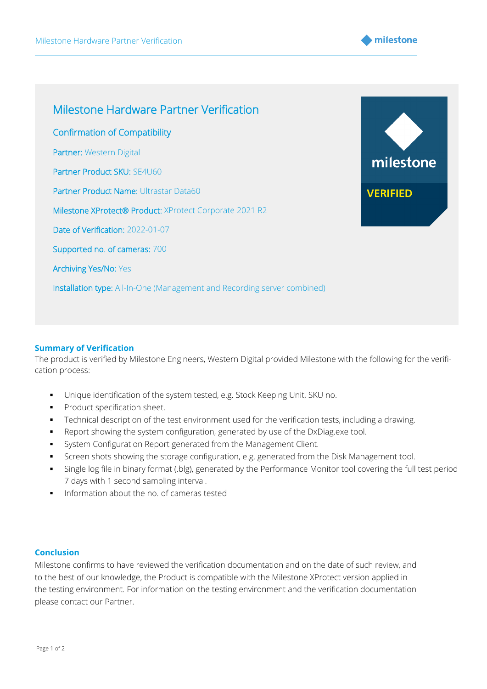



## **Summary of Verification**

The product is verified by Milestone Engineers, Western Digital provided Milestone with the following for the verification process:

- Unique identification of the system tested, e.g. Stock Keeping Unit, SKU no.
- **•** Product specification sheet.
- **•** Technical description of the test environment used for the verification tests, including a drawing.
- Report showing the system configuration, generated by use of the DxDiag.exe tool.
- **•** System Configuration Report generated from the Management Client.
- **•** Screen shots showing the storage configuration, e.g. generated from the Disk Management tool.
- Single log file in binary format (.blg), generated by the Performance Monitor tool covering the full test period 7 days with 1 second sampling interval.
- Information about the no. of cameras tested

## **Conclusion**

Milestone confirms to have reviewed the verification documentation and on the date of such review, and to the best of our knowledge, the Product is compatible with the Milestone XProtect version applied in the testing environment. For information on the testing environment and the verification documentation please contact our Partner.